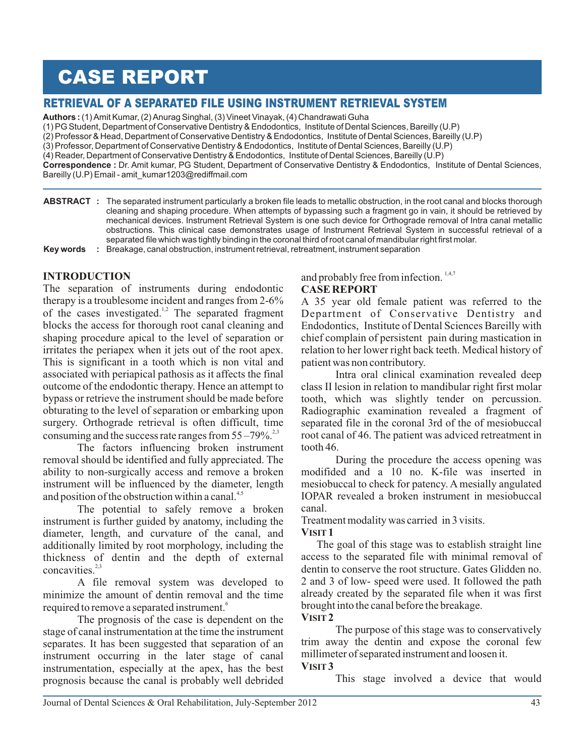# CASE REPORT

## RETRIEVAL OF A SEPARATED FILE USING INSTRUMENT RETRIEVAL SYSTEM

**Authors :** (1) Amit Kumar, (2) Anurag Singhal, (3) Vineet Vinayak, (4) Chandrawati Guha

(1) PG Student, Department of Conservative Dentistry & Endodontics, Institute of Dental Sciences, Bareilly (U.P)

(2) Professor & Head, Department of Conservative Dentistry & Endodontics, Institute of Dental Sciences, Bareilly (U.P)

(3) Professor, Department of Conservative Dentistry & Endodontics, Institute of Dental Sciences, Bareilly (U.P)

(4) Reader, Department of Conservative Dentistry & Endodontics, Institute of Dental Sciences, Bareilly (U.P)

**:** Dr. Amit kumar, PG Student, Department of Conservative Dentistry & Endodontics, Institute of Dental Sciences, **Correspondence**  Bareilly (U.P) Email - amit\_kumar1203@rediffmail.com

**ABSTRACT :** The separated instrument particularly a broken file leads to metallic obstruction, in the root canal and blocks thorough cleaning and shaping procedure. When attempts of bypassing such a fragment go in vain, it should be retrieved by mechanical devices. Instrument Retrieval System is one such device for Orthograde removal of Intra canal metallic obstructions. This clinical case demonstrates usage of Instrument Retrieval System in successful retrieval of a separated file which was tightly binding in the coronal third of root canal of mandibular right first molar. **Key words :** Breakage, canal obstruction, instrument retrieval, retreatment, instrument separation

**INTRODUCTION**

The separation of instruments during endodontic therapy is a troublesome incident and ranges from 2-6% of the cases investigated. $1,2$  The separated fragment blocks the access for thorough root canal cleaning and shaping procedure apical to the level of separation or irritates the periapex when it jets out of the root apex. This is significant in a tooth which is non vital and associated with periapical pathosis as it affects the final outcome of the endodontic therapy. Hence an attempt to bypass or retrieve the instrument should be made before obturating to the level of separation or embarking upon surgery. Orthograde retrieval is often difficult, time consuming and the success rate ranges from  $55 - 79\%$ .

The factors influencing broken instrument removal should be identified and fully appreciated. The ability to non-surgically access and remove a broken instrument will be influenced by the diameter, length and position of the obstruction within a canal. $4,5$ 

The potential to safely remove a broken instrument is further guided by anatomy, including the diameter, length, and curvature of the canal, and additionally limited by root morphology, including the thickness of dentin and the depth of external concavities.<sup>2,3</sup>

A file removal system was developed to minimize the amount of dentin removal and the time required to remove a separated instrument.<sup>6</sup>

The prognosis of the case is dependent on the stage of canal instrumentation at the time the instrument separates. It has been suggested that separation of an instrument occurring in the later stage of canal instrumentation, especially at the apex, has the best prognosis because the canal is probably well debrided

and probably free from infection.  $1,4,7$ 

## **CASE REPORT**

A 35 year old female patient was referred to the Department of Conservative Dentistry and Endodontics, Institute of Dental Sciences Bareilly with chief complain of persistent pain during mastication in relation to her lower right back teeth. Medical history of patient was non contributory.

Intra oral clinical examination revealed deep class II lesion in relation to mandibular right first molar tooth, which was slightly tender on percussion. Radiographic examination revealed a fragment of separated file in the coronal 3rd of the of mesiobuccal root canal of 46. The patient was adviced retreatment in tooth 46.

During the procedure the access opening was modifided and a 10 no. K-file was inserted in mesiobuccal to check for patency. A mesially angulated IOPAR revealed a broken instrument in mesiobuccal canal.

Treatment modality was carried in 3 visits.

## **VISIT 1**

 The goal of this stage was to establish straight line access to the separated file with minimal removal of dentin to conserve the root structure. Gates Glidden no. 2 and 3 of low- speed were used. It followed the path already created by the separated file when it was first brought into the canal before the breakage.

#### **VISIT 2**

The purpose of this stage was to conservatively trim away the dentin and expose the coronal few millimeter of separated instrument and loosen it.

## **VISIT 3**

This stage involved a device that would